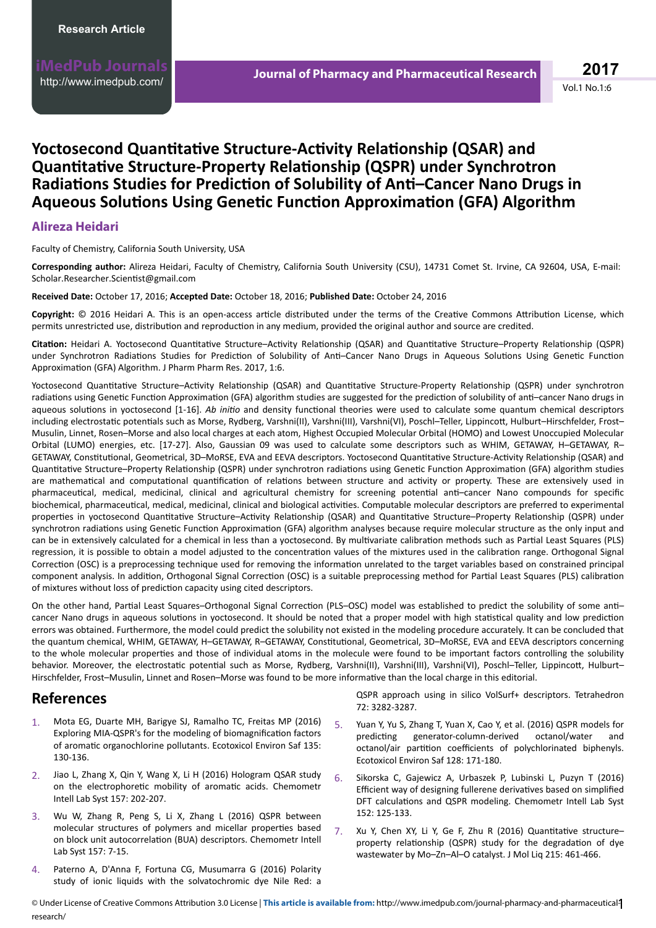# **Yoctosecond Quantitative Structure-Activity Relationship (QSAR) and QƵĂnƟƚĂƟǀĞ Structure-Property RĞůĂƟŽnƐŚŝƉ (QSPR) under Synchrotron Radiations Studies for Prediction of Solubility of Anti-Cancer Nano Drugs in Aqueous Solutions Using Genetic Function Approximation (GFA) Algorithm**

### **Alireza Heidari**

#### Faculty of Chemistry, California South University, USA

**Corresponding author:** Alireza Heidari, Faculty of Chemistry, California South University (CSU), 14731 Comet St. Irvine, CA 92604, USA, E-mail: Scholar.Researcher.Scientist@gmail.com

#### **Received Date:** October 17, 2016; **Accepted Date:** October 18, 2016; **Published Date:** October 24, 2016

Copyright: © 2016 Heidari A. This is an open-access article distributed under the terms of the Creative Commons Attribution License, which permits unrestricted use, distribution and reproduction in any medium, provided the original author and source are credited.

Citation: Heidari A. Yoctosecond Quantitative Structure–Activity Relationship (QSAR) and Quantitative Structure–Property Relationship (QSPR) under Synchrotron Radiations Studies for Prediction of Solubility of Anti-Cancer Nano Drugs in Aqueous Solutions Using Genetic Function Approximation (GFA) Algorithm. J Pharm Pharm Res. 2017, 1:6.

Yoctosecond Quantitative Structure-Activity Relationship (QSAR) and Quantitative Structure-Property Relationship (QSPR) under synchrotron radiations using Genetic Function Approximation (GFA) algorithm studies are suggested for the prediction of solubility of anti-cancer Nano drugs in aqueous solutions in yoctosecond [1-16]. Ab *initio* and density functional theories were used to calculate some quantum chemical descriptors including electrostatic potentials such as Morse, Rydberg, Varshni(II), Varshni(III), Varshni(VI), Poschl–Teller, Lippincott, Hulburt–Hirschfelder, Frost– Musulin, Linnet, Rosen–Morse and also local charges at each atom, Highest Occupied Molecular Orbital (HOMO) and Lowest Unoccupied Molecular Orbital (LUMO) energies, etc. [17-27]. Also, Gaussian 09 was used to calculate some descriptors such as WHIM, GETAWAY, H–GETAWAY, R– GETAWAY, Constitutional, Geometrical, 3D–MoRSE, EVA and EEVA descriptors. Yoctosecond Quantitative Structure-Activity Relationship (QSAR) and Quantitative Structure–Property Relationship (QSPR) under synchrotron radiations using Genetic Function Approximation (GFA) algorithm studies are mathematical and computational quantification of relations between structure and activity or property. These are extensively used in pharmaceutical, medical, medicinal, clinical and agricultural chemistry for screening potential anti-cancer Nano compounds for specific biochemical, pharmaceutical, medical, medicinal, clinical and biological activities. Computable molecular descriptors are preferred to experimental properties in yoctosecond Quantitative Structure–Activity Relationship (QSAR) and Quantitative Structure–Property Relationship (QSPR) under synchrotron radiations using Genetic Function Approximation (GFA) algorithm analyses because require molecular structure as the only input and can be in extensively calculated for a chemical in less than a yoctosecond. By multivariate calibration methods such as Partial Least Squares (PLS) regression, it is possible to obtain a model adjusted to the concentration values of the mixtures used in the calibration range. Orthogonal Signal Correction (OSC) is a preprocessing technique used for removing the information unrelated to the target variables based on constrained principal component analysis. In addition, Orthogonal Signal Correction (OSC) is a suitable preprocessing method for Partial Least Squares (PLS) calibration of mixtures without loss of prediction capacity using cited descriptors.

On the other hand, Partial Least Squares–Orthogonal Signal Correction (PLS–OSC) model was established to predict the solubility of some anti– cancer Nano drugs in aqueous solutions in yoctosecond. It should be noted that a proper model with high statistical quality and low prediction errors was obtained. Furthermore, the model could predict the solubility not existed in the modeling procedure accurately. It can be concluded that the quantum chemical, WHIM, GETAWAY, H-GETAWAY, R-GETAWAY, Constitutional, Geometrical, 3D-MoRSE, EVA and EEVA descriptors concerning to the whole molecular properties and those of individual atoms in the molecule were found to be important factors controlling the solubility behavior. Moreover, the electrostatic potential such as Morse, Rydberg, Varshni(III), Varshni(III), Varshni(VI), Poschl–Teller, Lippincott, Hulburt– Hirschfelder, Frost–Musulin, Linnet and Rosen–Morse was found to be more informative than the local charge in this editorial.

## **References**

- 1. Mota EG, Duarte MH, Barigye SJ, Ramalho TC, Freitas MP (2016) Exploring MIA-QSPR's for the modeling of biomagnification factors of aromatic organochlorine pollutants. Ecotoxicol Environ Saf 135: 130-136.
- 2. Jiao L, Zhang X, Qin Y, Wang X, Li H (2016) Hologram QSAR study on the electrophoretic mobility of aromatic acids. Chemometr Intell Lab Syst 157: 202-207.
- 3. Wu W, Zhang R, Peng S, Li X, Zhang L (2016) QSPR between molecular structures of polymers and micellar properties based on block unit autocorrelation (BUA) descriptors. Chemometr Intell Lab Syst 157: 7-15.
- 4. Paterno A, D'Anna F, Fortuna CG, Musumarra G (2016) Polarity study of ionic liquids with the solvatochromic dye Nile Red: a

QSPR approach using in silico VolSurf+ descriptors. Tetrahedron 72: 3282-3287.

- 5. Yuan Y, Yu S, Zhang T, Yuan X, Cao Y, et al. (2016) QSPR models for predicting generator-column-derived octanol/water and octanol/air partition coefficients of polychlorinated biphenyls. Ecotoxicol Environ Saf 128: 171-180.
- 6. Sikorska C, Gajewicz A, Urbaszek P, Lubinski L, Puzyn T (2016) Efficient way of designing fullerene derivatives based on simplified DFT calculations and QSPR modeling. Chemometr Intell Lab Syst 152: 125-133.
- 7. Xu Y, Chen XY, Li Y, Ge F, Zhu R (2016) Quantitative structure– property relationship (QSPR) study for the degradation of dye wastewater by Mo–Zn–Al–O catalyst. J Mol Liq 215: 461-466.

© Under License of Creative Commons Attribution 3.0 License | **This article is available from:** http://www.imedpub.com/journal-pharmacy-and-pharmaceutical-<mark>1</mark><br>recearch/ [research/](http://www.imedpub.com/journal-pharmacy-and-pharmaceutical-research/)